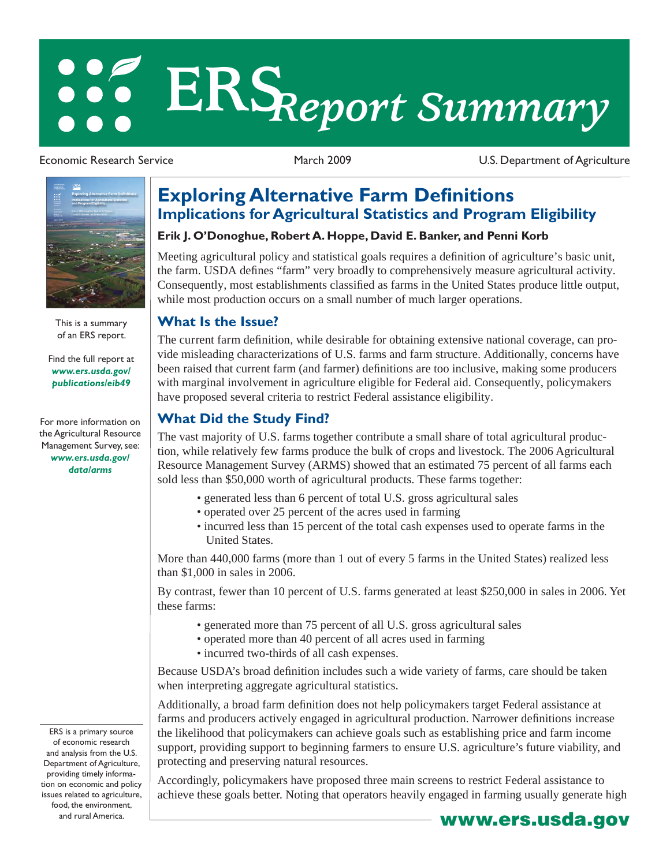# **ERS***Report Summary*

Economic Research Service March 2009 U.S. Department of Agriculture



This is a summary of an ERS report.

[Find the full report at](http://www.ers.usda.gov/publications/eib49)  *www.ers.usda.gov/ publications/eib49*

For more information on [the Agricultural Resource](http://www.ers.usda.gov/data/arms)  Management Survey, see: *www.ers.usda.gov/ data/arms*

ERS is a primary source of economic research and analysis from the U.S. Department of Agriculture, providing timely information on economic and policy issues related to agriculture, food, the environment, and rural America.

# **Exploring Alternative Farm Definitions Implications for Agricultural Statistics and Program Eligibility**

### **Erik J. O'Donoghue, Robert A. Hoppe, David E. Banker, and Penni Korb**

Meeting agricultural policy and statistical goals requires a definition of agriculture's basic unit, the farm. USDA defines "farm" very broadly to comprehensively measure agricultural activity. Consequently, most establishments classified as farms in the United States produce little output, while most production occurs on a small number of much larger operations.

### **What Is the Issue?**

The current farm definition, while desirable for obtaining extensive national coverage, can provide misleading characterizations of U.S. farms and farm structure. Additionally, concerns have been raised that current farm (and farmer) definitions are too inclusive, making some producers with marginal involvement in agriculture eligible for Federal aid. Consequently, policymakers have proposed several criteria to restrict Federal assistance eligibility.

## **What Did the Study Find?**

The vast majority of U.S. farms together contribute a small share of total agricultural production, while relatively few farms produce the bulk of crops and livestock. The 2006 Agricultural Resource Management Survey (ARMS) showed that an estimated 75 percent of all farms each sold less than \$50,000 worth of agricultural products. These farms together:

- generated less than 6 percent of total U.S. gross agricultural sales
- operated over 25 percent of the acres used in farming
- incurred less than 15 percent of the total cash expenses used to operate farms in the United States.

More than 440,000 farms (more than 1 out of every 5 farms in the United States) realized less than \$1,000 in sales in 2006.

By contrast, fewer than 10 percent of U.S. farms generated at least \$250,000 in sales in 2006. Yet these farms:

- generated more than 75 percent of all U.S. gross agricultural sales
- operated more than 40 percent of all acres used in farming
- incurred two-thirds of all cash expenses.

Because USDA's broad definition includes such a wide variety of farms, care should be taken when interpreting aggregate agricultural statistics.

Additionally, a broad farm definition does not help policymakers target Federal assistance at farms and producers actively engaged in agricultural production. Narrower definitions increase the likelihood that policymakers can achieve goals such as establishing price and farm income support, providing support to beginning farmers to ensure U.S. agriculture's future viability, and protecting and preserving natural resources.

Accordingly, policymakers have proposed three main screens to restrict Federal assistance to achieve these goals better. Noting that operators heavily engaged in farming usually generate high